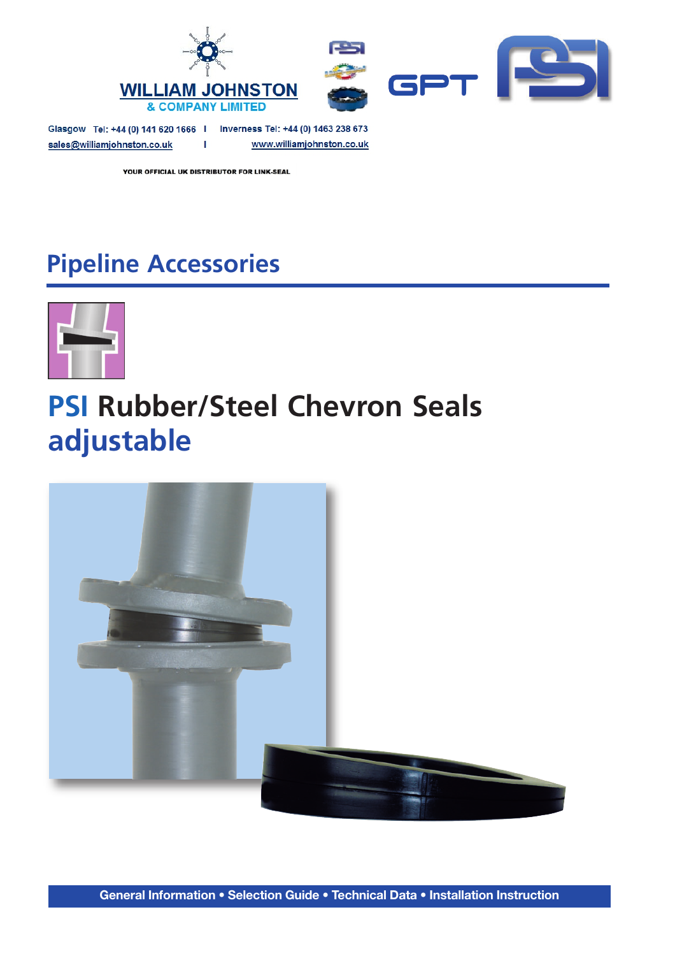

Glasgow Tel: +44 (0) 141 620 1666 | Inverness Tel: +44 (0) 1463 238 673 sales@williamjohnston.co.uk www.williamjohnston.co.uk  $\mathbf{L}$ 

YOUR OFFICIAL UK DISTRIBUTOR FOR LINK-SEAL

## **Pipeline Accessories**



# **PSI Rubber/Steel Chevron Seals adjustable**

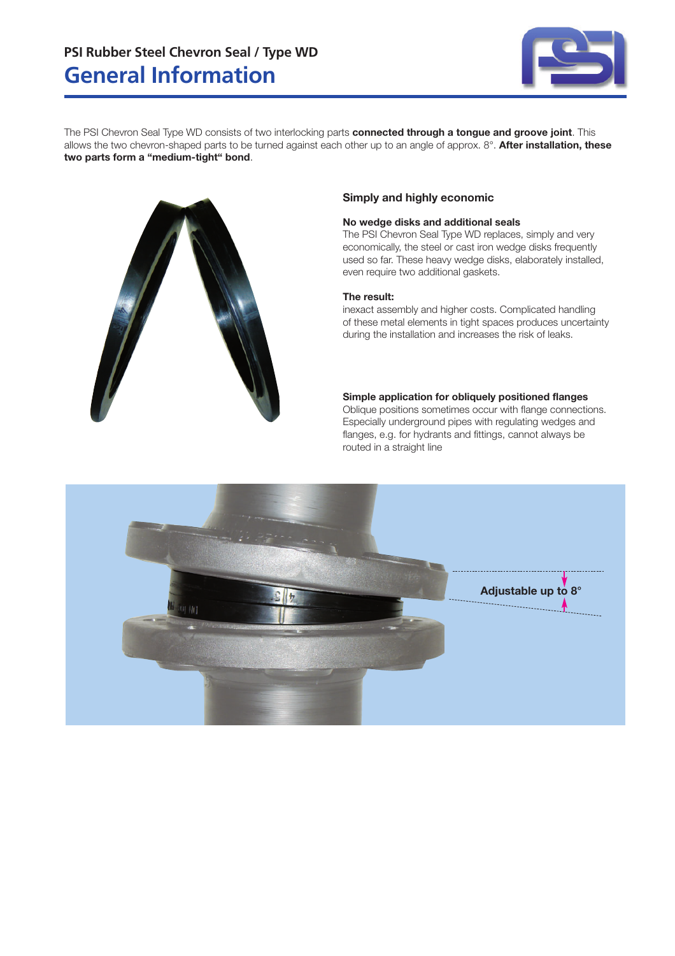

The PSI Chevron Seal Type WD consists of two interlocking parts **connected through a tongue and groove joint**. This allows the two chevron-shaped parts to be turned against each other up to an angle of approx. 8°. **After installation, these two parts form a "medium-tight" bond**.



### **Simply and highly economic**

### **No wedge disks and additional seals**

The PSI Chevron Seal Type WD replaces, simply and very economically, the steel or cast iron wedge disks frequently used so far. These heavy wedge disks, elaborately installed, even require two additional gaskets.

### **The result:**

inexact assembly and higher costs. Complicated handling of these metal elements in tight spaces produces uncertainty during the installation and increases the risk of leaks.

### **Simple application for obliquely positioned flanges**

Oblique positions sometimes occur with flange connections. Especially underground pipes with regulating wedges and flanges, e.g. for hydrants and fittings, cannot always be routed in a straight line

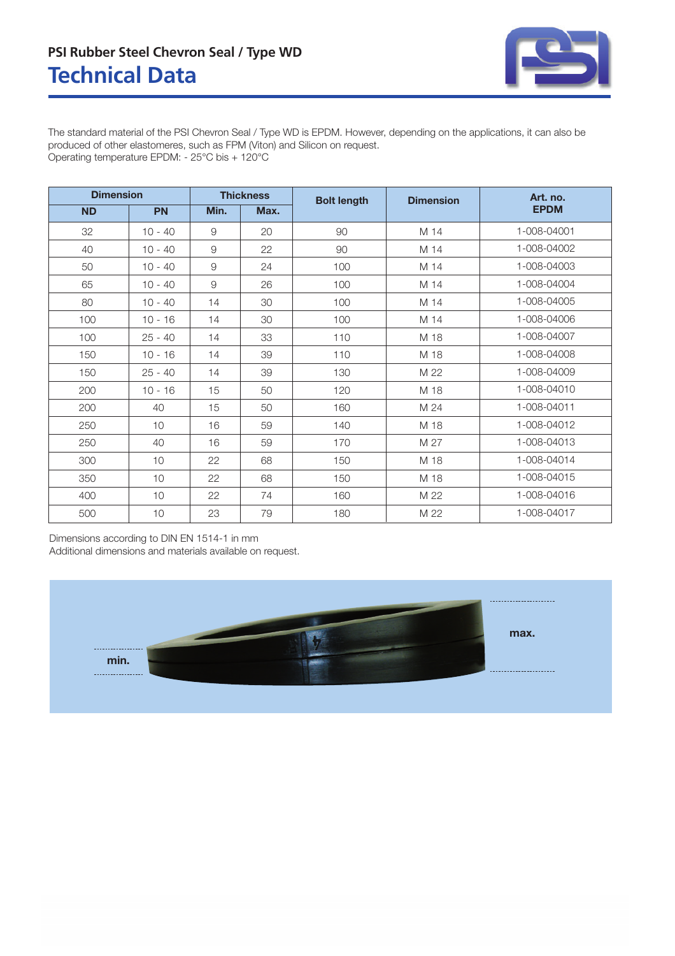### **Technical Data PSI Rubber Steel Chevron Seal / Type WD**



The standard material of the PSI Chevron Seal / Type WD is EPDM. However, depending on the applications, it can also be produced of other elastomeres, such as FPM (Viton) and Silicon on request. Operating temperature EPDM: - 25°C bis + 120°C

| <b>Dimension</b> |           | <b>Thickness</b> |      | <b>Bolt length</b> | <b>Dimension</b> | Art. no.    |
|------------------|-----------|------------------|------|--------------------|------------------|-------------|
| <b>ND</b>        | <b>PN</b> | Min.             | Max. |                    |                  | <b>EPDM</b> |
| 32               | $10 - 40$ | 9                | 20   | 90                 | M 14             | 1-008-04001 |
| 40               | $10 - 40$ | 9                | 22   | 90                 | M 14             | 1-008-04002 |
| 50               | $10 - 40$ | 9                | 24   | 100                | M 14             | 1-008-04003 |
| 65               | $10 - 40$ | $\hbox{9}$       | 26   | 100                | M 14             | 1-008-04004 |
| 80               | $10 - 40$ | 14               | 30   | 100                | M 14             | 1-008-04005 |
| 100              | $10 - 16$ | 14               | 30   | 100                | M 14             | 1-008-04006 |
| 100              | $25 - 40$ | 14               | 33   | 110                | M 18             | 1-008-04007 |
| 150              | $10 - 16$ | 14               | 39   | 110                | M 18             | 1-008-04008 |
| 150              | $25 - 40$ | 14               | 39   | 130                | M 22             | 1-008-04009 |
| 200              | $10 - 16$ | 15               | 50   | 120                | M 18             | 1-008-04010 |
| 200              | 40        | 15               | 50   | 160                | M 24             | 1-008-04011 |
| 250              | 10        | 16               | 59   | 140                | M 18             | 1-008-04012 |
| 250              | 40        | 16               | 59   | 170                | M 27             | 1-008-04013 |
| 300              | 10        | 22               | 68   | 150                | M 18             | 1-008-04014 |
| 350              | 10        | 22               | 68   | 150                | M 18             | 1-008-04015 |
| 400              | 10        | 22               | 74   | 160                | M 22             | 1-008-04016 |
| 500              | 10        | 23               | 79   | 180                | M 22             | 1-008-04017 |

Dimensions according to DIN EN 1514-1 in mm Additional dimensions and materials available on request.